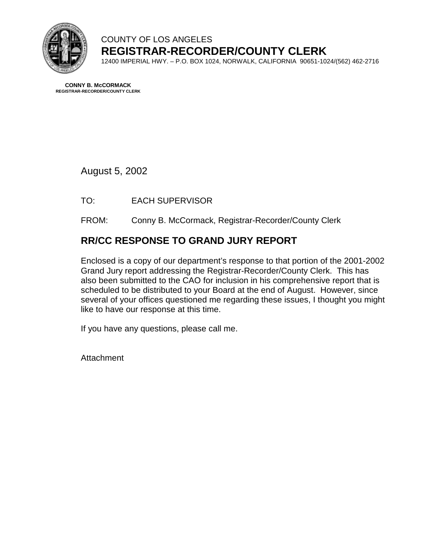

## COUNTY OF LOS ANGELES **REGISTRAR-RECORDER/COUNTY CLERK**

12400 IMPERIAL HWY. – P.O. BOX 1024, NORWALK, CALIFORNIA 90651-1024/(562) 462-2716

**CONNY B. McCORMACK REGISTRAR-RECORDER/COUNTY CLERK** 

August 5, 2002

TO: EACH SUPERVISOR

FROM: Conny B. McCormack, Registrar-Recorder/County Clerk

# **RR/CC RESPONSE TO GRAND JURY REPORT**

Enclosed is a copy of our department's response to that portion of the 2001-2002 Grand Jury report addressing the Registrar-Recorder/County Clerk. This has also been submitted to the CAO for inclusion in his comprehensive report that is scheduled to be distributed to your Board at the end of August. However, since several of your offices questioned me regarding these issues, I thought you might like to have our response at this time.

If you have any questions, please call me.

Attachment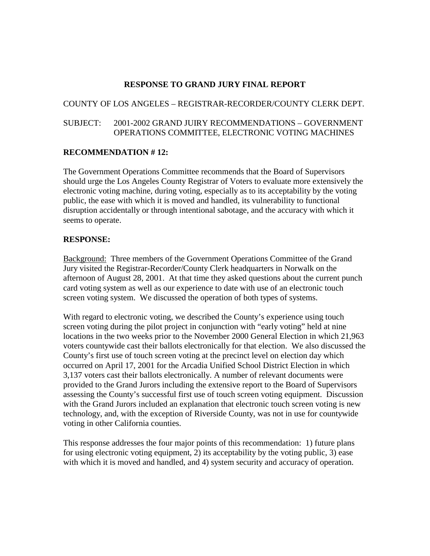### **RESPONSE TO GRAND JURY FINAL REPORT**

#### COUNTY OF LOS ANGELES – REGISTRAR-RECORDER/COUNTY CLERK DEPT.

## SUBJECT: 2001-2002 GRAND JUIRY RECOMMENDATIONS – GOVERNMENT OPERATIONS COMMITTEE, ELECTRONIC VOTING MACHINES

### **RECOMMENDATION # 12:**

The Government Operations Committee recommends that the Board of Supervisors should urge the Los Angeles County Registrar of Voters to evaluate more extensively the electronic voting machine, during voting, especially as to its acceptability by the voting public, the ease with which it is moved and handled, its vulnerability to functional disruption accidentally or through intentional sabotage, and the accuracy with which it seems to operate.

### **RESPONSE:**

Background: Three members of the Government Operations Committee of the Grand Jury visited the Registrar-Recorder/County Clerk headquarters in Norwalk on the afternoon of August 28, 2001. At that time they asked questions about the current punch card voting system as well as our experience to date with use of an electronic touch screen voting system. We discussed the operation of both types of systems.

With regard to electronic voting, we described the County's experience using touch screen voting during the pilot project in conjunction with "early voting" held at nine locations in the two weeks prior to the November 2000 General Election in which 21,963 voters countywide cast their ballots electronically for that election. We also discussed the County's first use of touch screen voting at the precinct level on election day which occurred on April 17, 2001 for the Arcadia Unified School District Election in which 3,137 voters cast their ballots electronically. A number of relevant documents were provided to the Grand Jurors including the extensive report to the Board of Supervisors assessing the County's successful first use of touch screen voting equipment. Discussion with the Grand Jurors included an explanation that electronic touch screen voting is new technology, and, with the exception of Riverside County, was not in use for countywide voting in other California counties.

This response addresses the four major points of this recommendation: 1) future plans for using electronic voting equipment, 2) its acceptability by the voting public, 3) ease with which it is moved and handled, and 4) system security and accuracy of operation.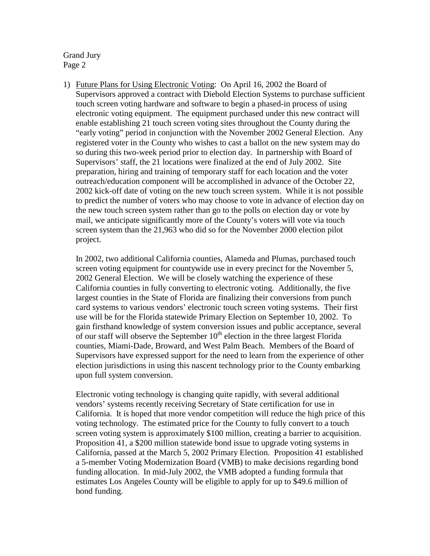1) Future Plans for Using Electronic Voting: On April 16, 2002 the Board of Supervisors approved a contract with Diebold Election Systems to purchase sufficient touch screen voting hardware and software to begin a phased-in process of using electronic voting equipment. The equipment purchased under this new contract will enable establishing 21 touch screen voting sites throughout the County during the "early voting" period in conjunction with the November 2002 General Election. Any registered voter in the County who wishes to cast a ballot on the new system may do so during this two-week period prior to election day. In partnership with Board of Supervisors' staff, the 21 locations were finalized at the end of July 2002. Site preparation, hiring and training of temporary staff for each location and the voter outreach/education component will be accomplished in advance of the October 22, 2002 kick-off date of voting on the new touch screen system. While it is not possible to predict the number of voters who may choose to vote in advance of election day on the new touch screen system rather than go to the polls on election day or vote by mail, we anticipate significantly more of the County's voters will vote via touch screen system than the 21,963 who did so for the November 2000 election pilot project.

In 2002, two additional California counties, Alameda and Plumas, purchased touch screen voting equipment for countywide use in every precinct for the November 5, 2002 General Election. We will be closely watching the experience of these California counties in fully converting to electronic voting. Additionally, the five largest counties in the State of Florida are finalizing their conversions from punch card systems to various vendors' electronic touch screen voting systems. Their first use will be for the Florida statewide Primary Election on September 10, 2002. To gain firsthand knowledge of system conversion issues and public acceptance, several of our staff will observe the September  $10<sup>th</sup>$  election in the three largest Florida counties, Miami-Dade, Broward, and West Palm Beach. Members of the Board of Supervisors have expressed support for the need to learn from the experience of other election jurisdictions in using this nascent technology prior to the County embarking upon full system conversion.

Electronic voting technology is changing quite rapidly, with several additional vendors' systems recently receiving Secretary of State certification for use in California. It is hoped that more vendor competition will reduce the high price of this voting technology. The estimated price for the County to fully convert to a touch screen voting system is approximately \$100 million, creating a barrier to acquisition. Proposition 41, a \$200 million statewide bond issue to upgrade voting systems in California, passed at the March 5, 2002 Primary Election. Proposition 41 established a 5-member Voting Modernization Board (VMB) to make decisions regarding bond funding allocation. In mid-July 2002, the VMB adopted a funding formula that estimates Los Angeles County will be eligible to apply for up to \$49.6 million of bond funding.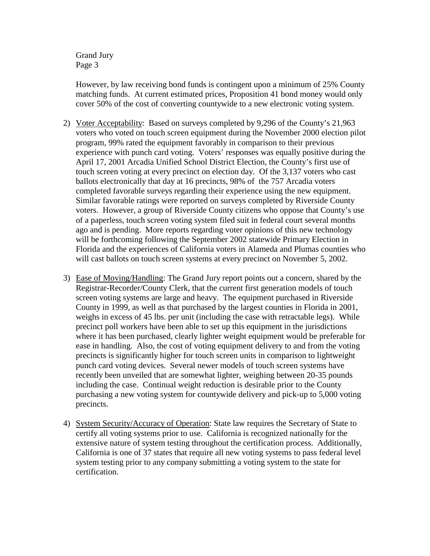However, by law receiving bond funds is contingent upon a minimum of 25% County matching funds. At current estimated prices, Proposition 41 bond money would only cover 50% of the cost of converting countywide to a new electronic voting system.

- 2) Voter Acceptability: Based on surveys completed by 9,296 of the County's 21,963 voters who voted on touch screen equipment during the November 2000 election pilot program, 99% rated the equipment favorably in comparison to their previous experience with punch card voting. Voters' responses was equally positive during the April 17, 2001 Arcadia Unified School District Election, the County's first use of touch screen voting at every precinct on election day. Of the 3,137 voters who cast ballots electronically that day at 16 precincts, 98% of the 757 Arcadia voters completed favorable surveys regarding their experience using the new equipment. Similar favorable ratings were reported on surveys completed by Riverside County voters. However, a group of Riverside County citizens who oppose that County's use of a paperless, touch screen voting system filed suit in federal court several months ago and is pending. More reports regarding voter opinions of this new technology will be forthcoming following the September 2002 statewide Primary Election in Florida and the experiences of California voters in Alameda and Plumas counties who will cast ballots on touch screen systems at every precinct on November 5, 2002.
- 3) Ease of Moving/Handling: The Grand Jury report points out a concern, shared by the Registrar-Recorder/County Clerk, that the current first generation models of touch screen voting systems are large and heavy. The equipment purchased in Riverside County in 1999, as well as that purchased by the largest counties in Florida in 2001, weighs in excess of 45 lbs. per unit (including the case with retractable legs). While precinct poll workers have been able to set up this equipment in the jurisdictions where it has been purchased, clearly lighter weight equipment would be preferable for ease in handling. Also, the cost of voting equipment delivery to and from the voting precincts is significantly higher for touch screen units in comparison to lightweight punch card voting devices. Several newer models of touch screen systems have recently been unveiled that are somewhat lighter, weighing between 20-35 pounds including the case. Continual weight reduction is desirable prior to the County purchasing a new voting system for countywide delivery and pick-up to 5,000 voting precincts.
- 4) System Security/Accuracy of Operation: State law requires the Secretary of State to certify all voting systems prior to use. California is recognized nationally for the extensive nature of system testing throughout the certification process. Additionally, California is one of 37 states that require all new voting systems to pass federal level system testing prior to any company submitting a voting system to the state for certification.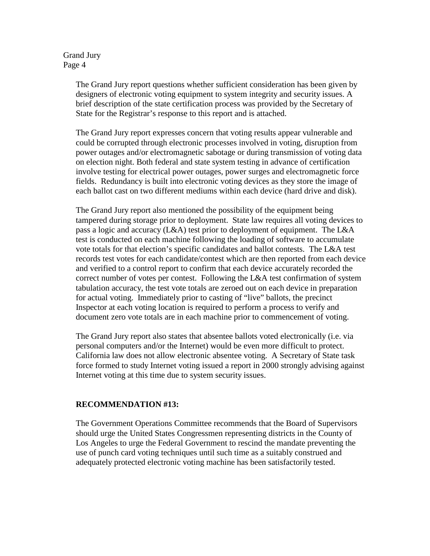The Grand Jury report questions whether sufficient consideration has been given by designers of electronic voting equipment to system integrity and security issues. A brief description of the state certification process was provided by the Secretary of State for the Registrar's response to this report and is attached.

The Grand Jury report expresses concern that voting results appear vulnerable and could be corrupted through electronic processes involved in voting, disruption from power outages and/or electromagnetic sabotage or during transmission of voting data on election night. Both federal and state system testing in advance of certification involve testing for electrical power outages, power surges and electromagnetic force fields. Redundancy is built into electronic voting devices as they store the image of each ballot cast on two different mediums within each device (hard drive and disk).

The Grand Jury report also mentioned the possibility of the equipment being tampered during storage prior to deployment. State law requires all voting devices to pass a logic and accuracy (L&A) test prior to deployment of equipment. The L&A test is conducted on each machine following the loading of software to accumulate vote totals for that election's specific candidates and ballot contests. The L&A test records test votes for each candidate/contest which are then reported from each device and verified to a control report to confirm that each device accurately recorded the correct number of votes per contest. Following the L&A test confirmation of system tabulation accuracy, the test vote totals are zeroed out on each device in preparation for actual voting. Immediately prior to casting of "live" ballots, the precinct Inspector at each voting location is required to perform a process to verify and document zero vote totals are in each machine prior to commencement of voting.

The Grand Jury report also states that absentee ballots voted electronically (i.e. via personal computers and/or the Internet) would be even more difficult to protect. California law does not allow electronic absentee voting. A Secretary of State task force formed to study Internet voting issued a report in 2000 strongly advising against Internet voting at this time due to system security issues.

#### **RECOMMENDATION #13:**

The Government Operations Committee recommends that the Board of Supervisors should urge the United States Congressmen representing districts in the County of Los Angeles to urge the Federal Government to rescind the mandate preventing the use of punch card voting techniques until such time as a suitably construed and adequately protected electronic voting machine has been satisfactorily tested.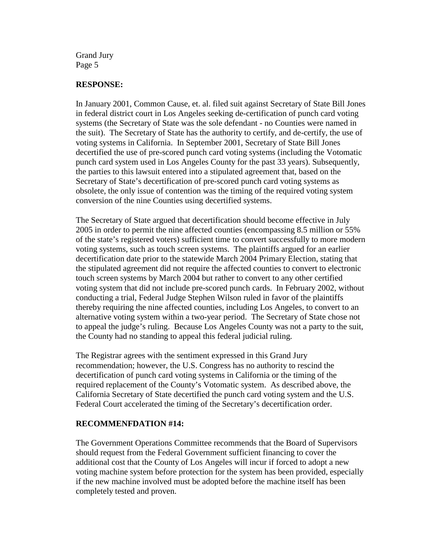#### **RESPONSE:**

In January 2001, Common Cause, et. al. filed suit against Secretary of State Bill Jones in federal district court in Los Angeles seeking de-certification of punch card voting systems (the Secretary of State was the sole defendant - no Counties were named in the suit). The Secretary of State has the authority to certify, and de-certify, the use of voting systems in California. In September 2001, Secretary of State Bill Jones decertified the use of pre-scored punch card voting systems (including the Votomatic punch card system used in Los Angeles County for the past 33 years). Subsequently, the parties to this lawsuit entered into a stipulated agreement that, based on the Secretary of State's decertification of pre-scored punch card voting systems as obsolete, the only issue of contention was the timing of the required voting system conversion of the nine Counties using decertified systems.

The Secretary of State argued that decertification should become effective in July 2005 in order to permit the nine affected counties (encompassing 8.5 million or 55% of the state's registered voters) sufficient time to convert successfully to more modern voting systems, such as touch screen systems. The plaintiffs argued for an earlier decertification date prior to the statewide March 2004 Primary Election, stating that the stipulated agreement did not require the affected counties to convert to electronic touch screen systems by March 2004 but rather to convert to any other certified voting system that did not include pre-scored punch cards. In February 2002, without conducting a trial, Federal Judge Stephen Wilson ruled in favor of the plaintiffs thereby requiring the nine affected counties, including Los Angeles, to convert to an alternative voting system within a two-year period. The Secretary of State chose not to appeal the judge's ruling. Because Los Angeles County was not a party to the suit, the County had no standing to appeal this federal judicial ruling.

The Registrar agrees with the sentiment expressed in this Grand Jury recommendation; however, the U.S. Congress has no authority to rescind the decertification of punch card voting systems in California or the timing of the required replacement of the County's Votomatic system. As described above, the California Secretary of State decertified the punch card voting system and the U.S. Federal Court accelerated the timing of the Secretary's decertification order.

## **RECOMMENFDATION #14:**

The Government Operations Committee recommends that the Board of Supervisors should request from the Federal Government sufficient financing to cover the additional cost that the County of Los Angeles will incur if forced to adopt a new voting machine system before protection for the system has been provided, especially if the new machine involved must be adopted before the machine itself has been completely tested and proven.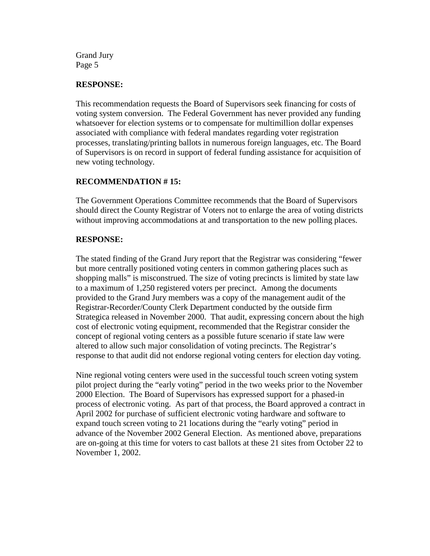## **RESPONSE:**

This recommendation requests the Board of Supervisors seek financing for costs of voting system conversion. The Federal Government has never provided any funding whatsoever for election systems or to compensate for multimillion dollar expenses associated with compliance with federal mandates regarding voter registration processes, translating/printing ballots in numerous foreign languages, etc. The Board of Supervisors is on record in support of federal funding assistance for acquisition of new voting technology.

## **RECOMMENDATION # 15:**

The Government Operations Committee recommends that the Board of Supervisors should direct the County Registrar of Voters not to enlarge the area of voting districts without improving accommodations at and transportation to the new polling places.

## **RESPONSE:**

The stated finding of the Grand Jury report that the Registrar was considering "fewer but more centrally positioned voting centers in common gathering places such as shopping malls" is misconstrued. The size of voting precincts is limited by state law to a maximum of 1,250 registered voters per precinct. Among the documents provided to the Grand Jury members was a copy of the management audit of the Registrar-Recorder/County Clerk Department conducted by the outside firm Strategica released in November 2000. That audit, expressing concern about the high cost of electronic voting equipment, recommended that the Registrar consider the concept of regional voting centers as a possible future scenario if state law were altered to allow such major consolidation of voting precincts. The Registrar's response to that audit did not endorse regional voting centers for election day voting.

Nine regional voting centers were used in the successful touch screen voting system pilot project during the "early voting" period in the two weeks prior to the November 2000 Election. The Board of Supervisors has expressed support for a phased-in process of electronic voting. As part of that process, the Board approved a contract in April 2002 for purchase of sufficient electronic voting hardware and software to expand touch screen voting to 21 locations during the "early voting" period in advance of the November 2002 General Election. As mentioned above, preparations are on-going at this time for voters to cast ballots at these 21 sites from October 22 to November 1, 2002.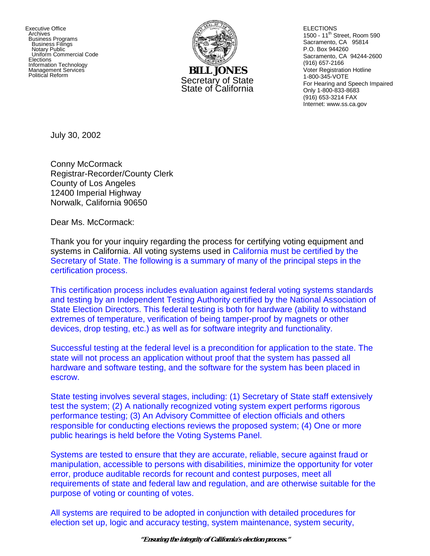Notary Public Uniform Commercial Code Executive Office **Archives**  Business Programs Business Filings **Elections**  Information Technology **Management Services**<br> **BILL JONES**<br>
Political Reform



Secretary of State State of California

ELECTIONS 1500 - 11<sup>th</sup> Street, Room 590 Sacramento, CA 95814 P.O. Box 944260 Sacramento, CA 94244-2600 (916) 657-2166 Voter Registration Hotline 1-800-345-VOTE For Hearing and Speech Impaired Only 1-800-833-8683 (916) 653-3214 FAX Internet: www.ss.ca.gov

July 30, 2002

Conny McCormack Registrar-Recorder/County Clerk County of Los Angeles 12400 Imperial Highway Norwalk, California 90650

Dear Ms. McCormack:

Thank you for your inquiry regarding the process for certifying voting equipment and systems in California. All voting systems used in California must be certified by the Secretary of State. The following is a summary of many of the principal steps in the certification process.

This certification process includes evaluation against federal voting systems standards and testing by an Independent Testing Authority certified by the National Association of State Election Directors. This federal testing is both for hardware (ability to withstand extremes of temperature, verification of being tamper-proof by magnets or other devices, drop testing, etc.) as well as for software integrity and functionality.

Successful testing at the federal level is a precondition for application to the state. The state will not process an application without proof that the system has passed all hardware and software testing, and the software for the system has been placed in escrow.

State testing involves several stages, including: (1) Secretary of State staff extensively test the system; (2) A nationally recognized voting system expert performs rigorous performance testing; (3) An Advisory Committee of election officials and others responsible for conducting elections reviews the proposed system; (4) One or more public hearings is held before the Voting Systems Panel.

Systems are tested to ensure that they are accurate, reliable, secure against fraud or manipulation, accessible to persons with disabilities, minimize the opportunity for voter error, produce auditable records for recount and contest purposes, meet all requirements of state and federal law and regulation, and are otherwise suitable for the purpose of voting or counting of votes.

All systems are required to be adopted in conjunction with detailed procedures for election set up, logic and accuracy testing, system maintenance, system security,